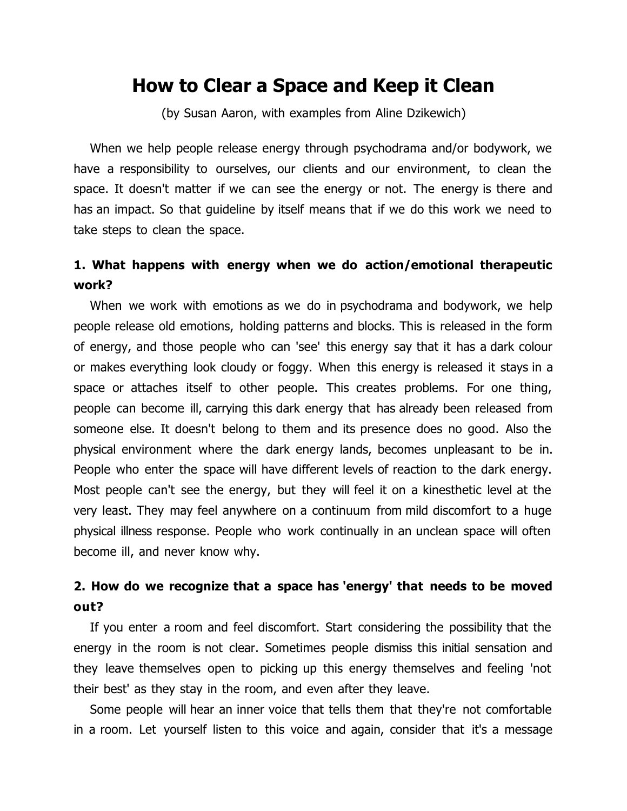# **How to Clear a Space and Keep it Clean**

(by Susan Aaron, with examples from Aline Dzikewich)

When we help people release energy through psychodrama and/or bodywork, we have a responsibility to ourselves, our clients and our environment, to clean the space. It doesn't matter if we can see the energy or not. The energy is there and has an impact. So that guideline by itself means that if we do this work we need to take steps to clean the space.

## **1. What happens with energy when we do action/emotional therapeutic work?**

When we work with emotions as we do in psychodrama and bodywork, we help people release old emotions, holding patterns and blocks. This is released in the form of energy, and those people who can 'see' this energy say that it has a dark colour or makes everything look cloudy or foggy. When this energy is released it stays in a space or attaches itself to other people. This creates problems. For one thing, people can become ill, carrying this dark energy that has already been released from someone else. It doesn't belong to them and its presence does no good. Also the physical environment where the dark energy lands, becomes unpleasant to be in. People who enter the space will have different levels of reaction to the dark energy. Most people can't see the energy, but they will feel it on a kinesthetic level at the very least. They may feel anywhere on a continuum from mild discomfort to a huge physical illness response. People who work continually in an unclean space will often become ill, and never know why.

## **2. How do we recognize that a space has 'energy' that needs to be moved out?**

If you enter a room and feel discomfort. Start considering the possibility that the energy in the room is not clear. Sometimes people dismiss this initial sensation and they leave themselves open to picking up this energy themselves and feeling 'not their best' as they stay in the room, and even after they leave.

Some people will hear an inner voice that tells them that they're not comfortable in a room. Let yourself listen to this voice and again, consider that it's a message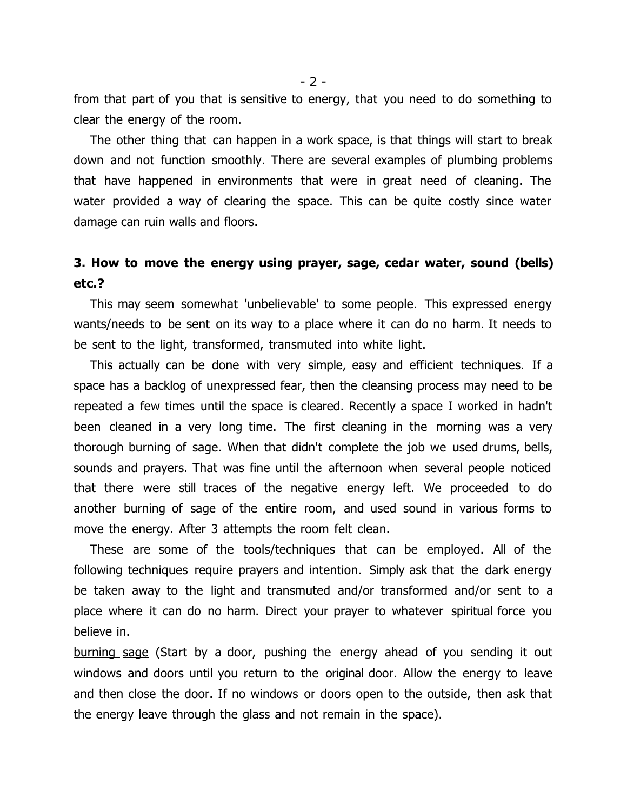from that part of you that is sensitive to energy, that you need to do something to clear the energy of the room.

The other thing that can happen in a work space, is that things will start to break down and not function smoothly. There are several examples of plumbing problems that have happened in environments that were in great need of cleaning. The water provided a way of clearing the space. This can be quite costly since water damage can ruin walls and floors.

## **3. How to move the energy using prayer, sage, cedar water, sound (bells) etc.?**

This may seem somewhat 'unbelievable' to some people. This expressed energy wants/needs to be sent on its way to a place where it can do no harm. It needs to be sent to the light, transformed, transmuted into white light.

This actually can be done with very simple, easy and efficient techniques. If a space has a backlog of unexpressed fear, then the cleansing process may need to be repeated a few times until the space is cleared. Recently a space I worked in hadn't been cleaned in a very long time. The first cleaning in the morning was a very thorough burning of sage. When that didn't complete the job we used drums, bells, sounds and prayers. That was fine until the afternoon when several people noticed that there were still traces of the negative energy left. We proceeded to do another burning of sage of the entire room, and used sound in various forms to move the energy. After 3 attempts the room felt clean.

These are some of the tools/techniques that can be employed. All of the following techniques require prayers and intention. Simply ask that the dark energy be taken away to the light and transmuted and/or transformed and/or sent to a place where it can do no harm. Direct your prayer to whatever spiritual force you believe in.

burning sage (Start by a door, pushing the energy ahead of you sending it out windows and doors until you return to the original door. Allow the energy to leave and then close the door. If no windows or doors open to the outside, then ask that the energy leave through the glass and not remain in the space).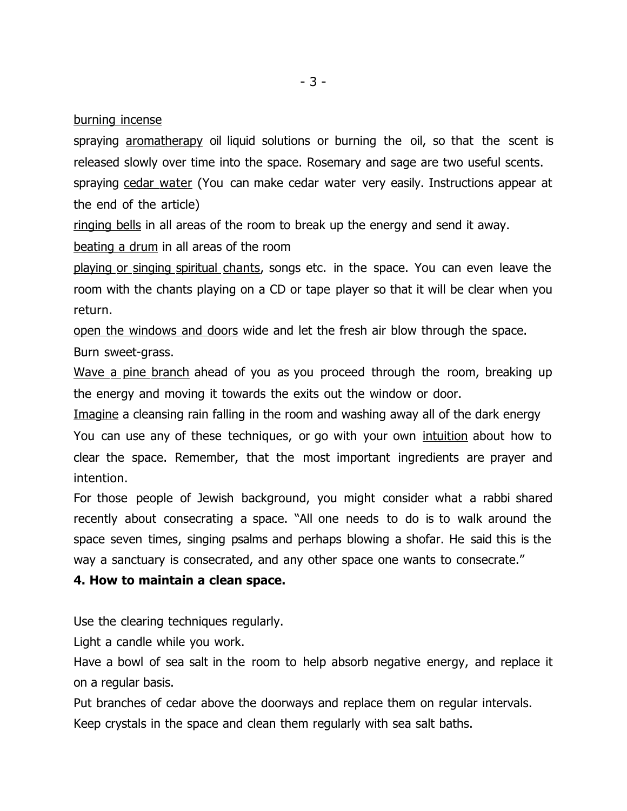burning incense

spraying aromatherapy oil liquid solutions or burning the oil, so that the scent is released slowly over time into the space. Rosemary and sage are two useful scents. spraying cedar water (You can make cedar water very easily. Instructions appear at the end of the article)

ringing bells in all areas of the room to break up the energy and send it away.

beating a drum in all areas of the room

playing or singing spiritual chants, songs etc. in the space. You can even leave the room with the chants playing on a CD or tape player so that it will be clear when you return.

open the windows and doors wide and let the fresh air blow through the space.

Burn sweet-grass.

Wave a pine branch ahead of you as you proceed through the room, breaking up the energy and moving it towards the exits out the window or door.

Imagine a cleansing rain falling in the room and washing away all of the dark energy

You can use any of these techniques, or go with your own intuition about how to clear the space. Remember, that the most important ingredients are prayer and intention.

For those people of Jewish background, you might consider what a rabbi shared recently about consecrating a space. "All one needs to do is to walk around the space seven times, singing psalms and perhaps blowing a shofar. He said this is the way a sanctuary is consecrated, and any other space one wants to consecrate."

## **4. How to maintain a clean space.**

Use the clearing techniques regularly.

Light a candle while you work.

Have a bowl of sea salt in the room to help absorb negative energy, and replace it on a regular basis.

Put branches of cedar above the doorways and replace them on regular intervals. Keep crystals in the space and clean them regularly with sea salt baths.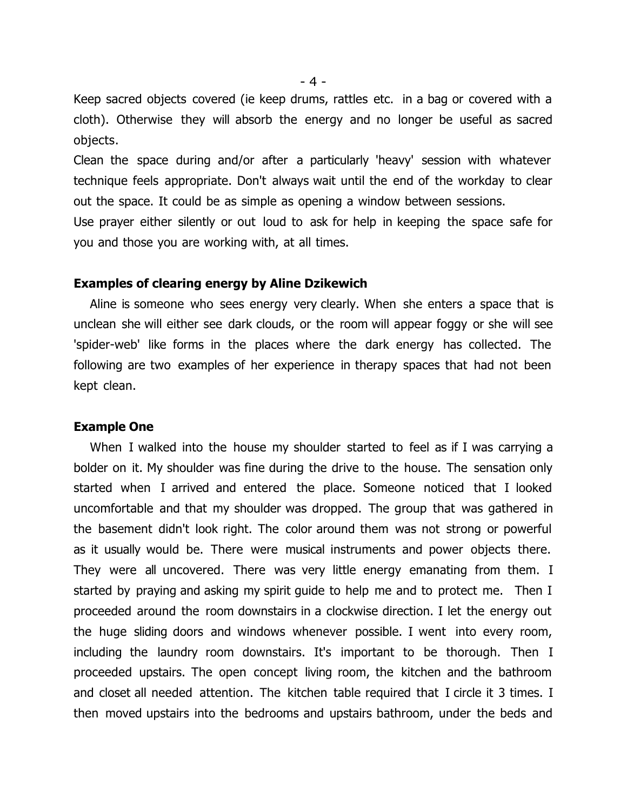Keep sacred objects covered (ie keep drums, rattles etc. in a bag or covered with a cloth). Otherwise they will absorb the energy and no longer be useful as sacred objects.

Clean the space during and/or after a particularly 'heavy' session with whatever technique feels appropriate. Don't always wait until the end of the workday to clear out the space. It could be as simple as opening a window between sessions.

Use prayer either silently or out loud to ask for help in keeping the space safe for you and those you are working with, at all times.

### **Examples of clearing energy by Aline Dzikewich**

Aline is someone who sees energy very clearly. When she enters a space that is unclean she will either see dark clouds, or the room will appear foggy or she will see 'spider-web' like forms in the places where the dark energy has collected. The following are two examples of her experience in therapy spaces that had not been kept clean.

### **Example One**

When I walked into the house my shoulder started to feel as if I was carrying a bolder on it. My shoulder was fine during the drive to the house. The sensation only started when I arrived and entered the place. Someone noticed that I looked uncomfortable and that my shoulder was dropped. The group that was gathered in the basement didn't look right. The color around them was not strong or powerful as it usually would be. There were musical instruments and power objects there. They were all uncovered. There was very little energy emanating from them. I started by praying and asking my spirit guide to help me and to protect me. Then I proceeded around the room downstairs in a clockwise direction. I let the energy out the huge sliding doors and windows whenever possible. I went into every room, including the laundry room downstairs. It's important to be thorough. Then I proceeded upstairs. The open concept living room, the kitchen and the bathroom and closet all needed attention. The kitchen table required that I circle it 3 times. I then moved upstairs into the bedrooms and upstairs bathroom, under the beds and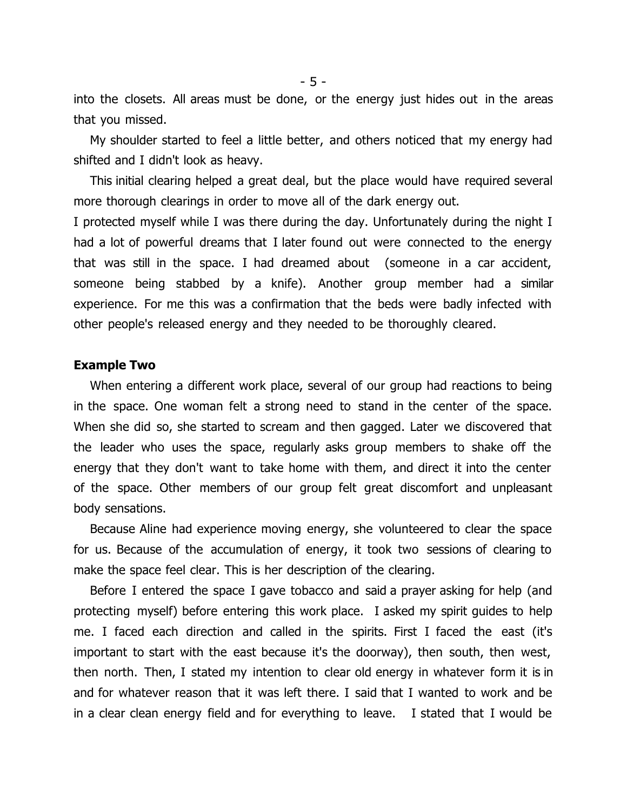into the closets. All areas must be done, or the energy just hides out in the areas that you missed.

My shoulder started to feel a little better, and others noticed that my energy had shifted and I didn't look as heavy.

This initial clearing helped a great deal, but the place would have required several more thorough clearings in order to move all of the dark energy out.

I protected myself while I was there during the day. Unfortunately during the night I had a lot of powerful dreams that I later found out were connected to the energy that was still in the space. I had dreamed about (someone in a car accident, someone being stabbed by a knife). Another group member had a similar experience. For me this was a confirmation that the beds were badly infected with other people's released energy and they needed to be thoroughly cleared.

### **Example Two**

When entering a different work place, several of our group had reactions to being in the space. One woman felt a strong need to stand in the center of the space. When she did so, she started to scream and then gagged. Later we discovered that the leader who uses the space, regularly asks group members to shake off the energy that they don't want to take home with them, and direct it into the center of the space. Other members of our group felt great discomfort and unpleasant body sensations.

Because Aline had experience moving energy, she volunteered to clear the space for us. Because of the accumulation of energy, it took two sessions of clearing to make the space feel clear. This is her description of the clearing.

Before I entered the space I gave tobacco and said a prayer asking for help (and protecting myself) before entering this work place. I asked my spirit guides to help me. I faced each direction and called in the spirits. First I faced the east (it's important to start with the east because it's the doorway), then south, then west, then north. Then, I stated my intention to clear old energy in whatever form it is in and for whatever reason that it was left there. I said that I wanted to work and be in a clear clean energy field and for everything to leave. I stated that I would be

- 5 -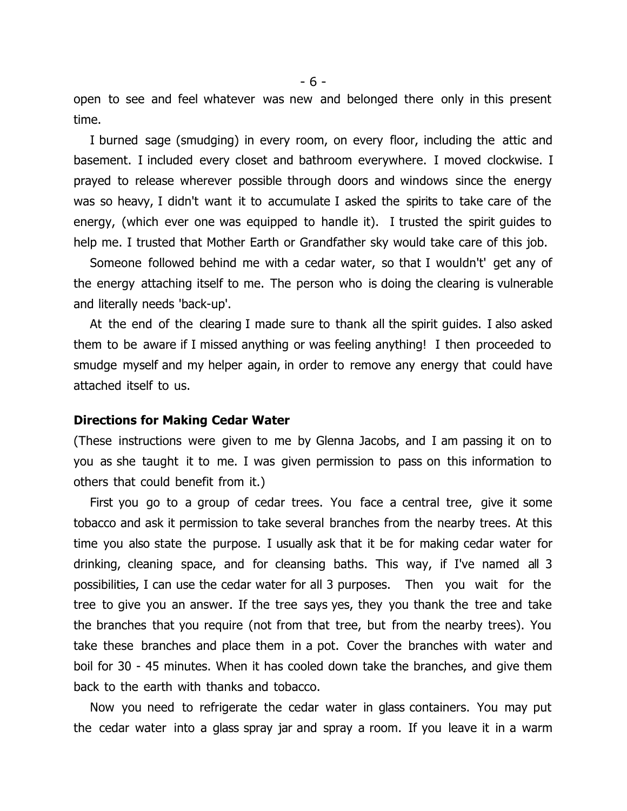open to see and feel whatever was new and belonged there only in this present time.

I burned sage (smudging) in every room, on every floor, including the attic and basement. I included every closet and bathroom everywhere. I moved clockwise. I prayed to release wherever possible through doors and windows since the energy was so heavy, I didn't want it to accumulate I asked the spirits to take care of the energy, (which ever one was equipped to handle it). I trusted the spirit guides to help me. I trusted that Mother Earth or Grandfather sky would take care of this job.

Someone followed behind me with a cedar water, so that I wouldn't' get any of the energy attaching itself to me. The person who is doing the clearing is vulnerable and literally needs 'back-up'.

At the end of the clearing I made sure to thank all the spirit guides. I also asked them to be aware if I missed anything or was feeling anything! I then proceeded to smudge myself and my helper again, in order to remove any energy that could have attached itself to us.

### **Directions for Making Cedar Water**

(These instructions were given to me by Glenna Jacobs, and I am passing it on to you as she taught it to me. I was given permission to pass on this information to others that could benefit from it.)

First you go to a group of cedar trees. You face a central tree, give it some tobacco and ask it permission to take several branches from the nearby trees. At this time you also state the purpose. I usually ask that it be for making cedar water for drinking, cleaning space, and for cleansing baths. This way, if I've named all 3 possibilities, I can use the cedar water for all 3 purposes. Then you wait for the tree to give you an answer. If the tree says yes, they you thank the tree and take the branches that you require (not from that tree, but from the nearby trees). You take these branches and place them in a pot. Cover the branches with water and boil for 30 - 45 minutes. When it has cooled down take the branches, and give them back to the earth with thanks and tobacco.

Now you need to refrigerate the cedar water in glass containers. You may put the cedar water into a glass spray jar and spray a room. If you leave it in a warm